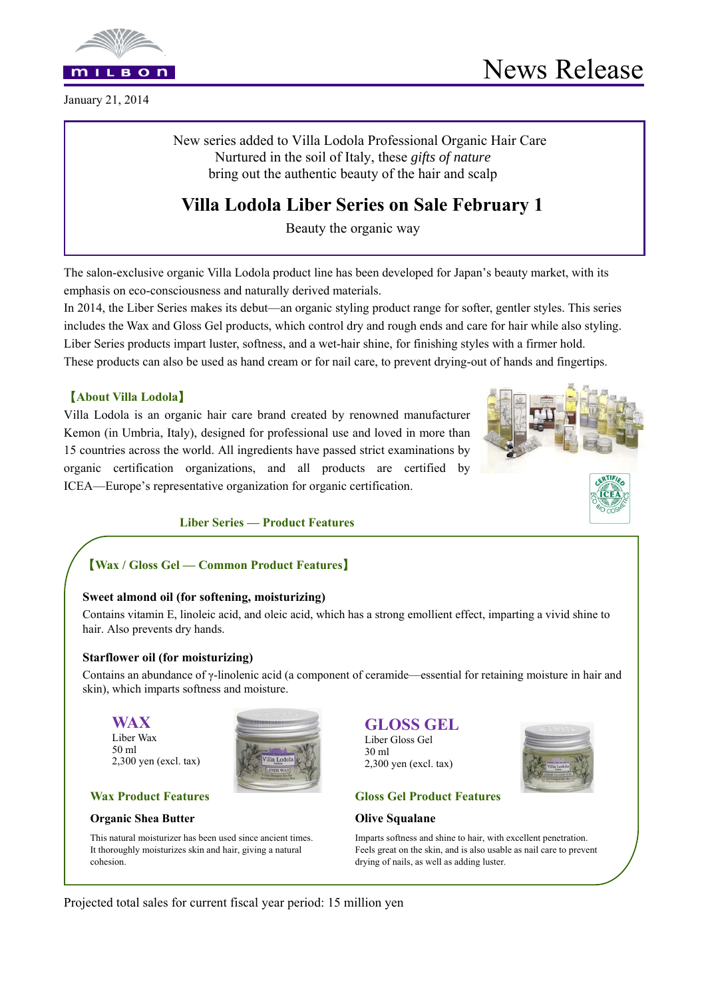

January 21, 2014

New series added to Villa Lodola Professional Organic Hair Care Nurtured in the soil of Italy, these *gifts of nature*  bring out the authentic beauty of the hair and scalp

# **Villa Lodola Liber Series on Sale February 1**

Beauty the organic way

The salon-exclusive organic Villa Lodola product line has been developed for Japan's beauty market, with its emphasis on eco-consciousness and naturally derived materials.

In 2014, the Liber Series makes its debut—an organic styling product range for softer, gentler styles. This series includes the Wax and Gloss Gel products, which control dry and rough ends and care for hair while also styling. Liber Series products impart luster, softness, and a wet-hair shine, for finishing styles with a firmer hold. These products can also be used as hand cream or for nail care, to prevent drying-out of hands and fingertips.

# 【**About Villa Lodola**】

Villa Lodola is an organic hair care brand created by renowned manufacturer Kemon (in Umbria, Italy), designed for professional use and loved in more than 15 countries across the world. All ingredients have passed strict examinations by organic certification organizations, and all products are certified by ICEA—Europe's representative organization for organic certification.



**Liber Series — Product Features** 

# 【**Wax / Gloss Gel — Common Product Features**】

### **Sweet almond oil (for softening, moisturizing)**

Contains vitamin E, linoleic acid, and oleic acid, which has a strong emollient effect, imparting a vivid shine to hair. Also prevents dry hands.

### **Starflower oil (for moisturizing)**

Contains an abundance of γ-linolenic acid (a component of ceramide—essential for retaining moisture in hair and skin), which imparts softness and moisture.

**WAX**  Liber Wax 50 ml 2,300 yen (excl. tax)



### **Wax Product Features**

### **Organic Shea Butter**

This natural moisturizer has been used since ancient times. It thoroughly moisturizes skin and hair, giving a natural cohesion.

# **GLOSS GEL**

Liber Gloss Gel 30 ml 2,300 yen (excl. tax)



# **Gloss Gel Product Features**

### **Olive Squalane**

Imparts softness and shine to hair, with excellent penetration. Feels great on the skin, and is also usable as nail care to prevent drying of nails, as well as adding luster.

Projected total sales for current fiscal year period: 15 million yen